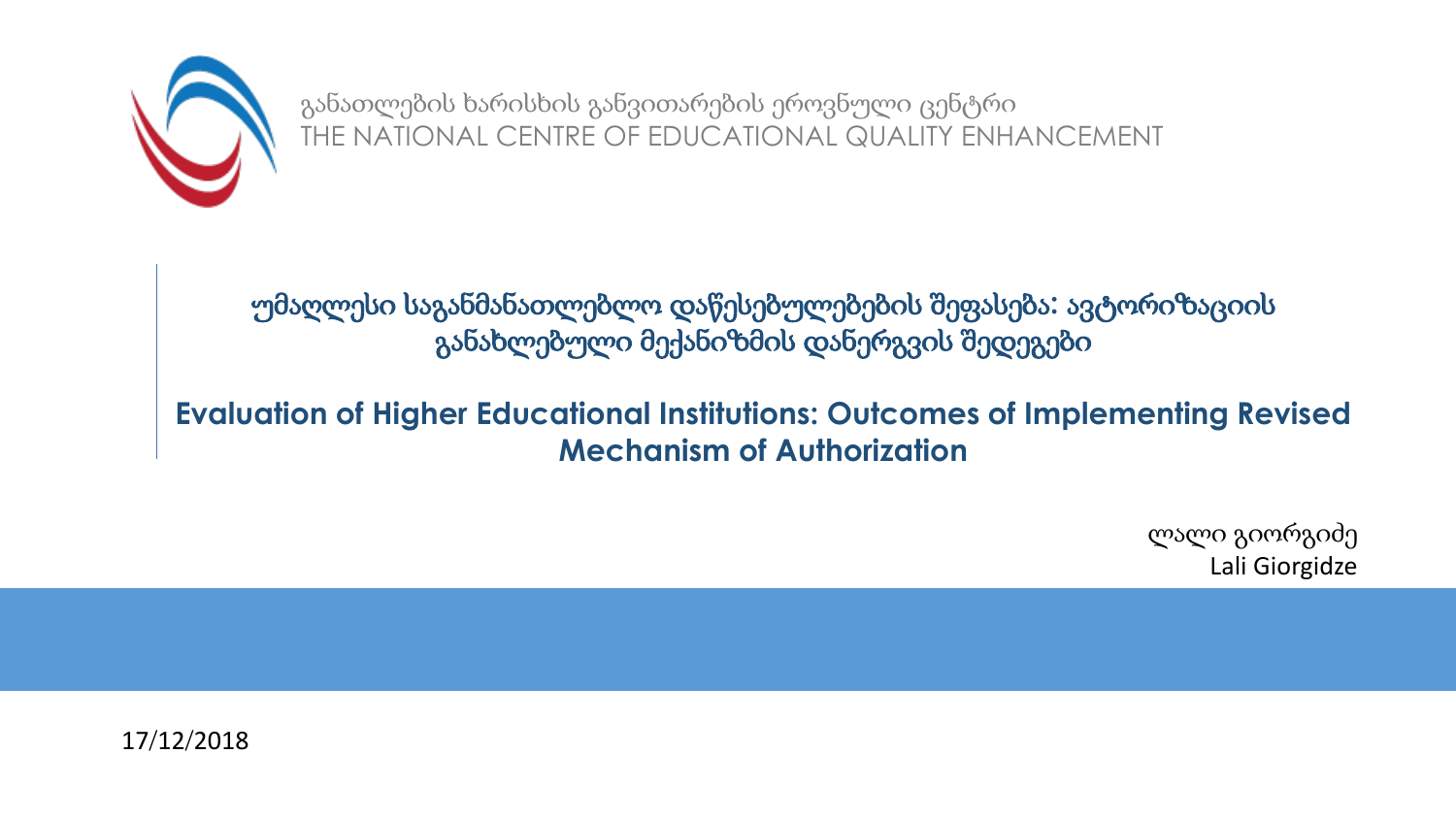

განათლების ხარისხის განვითარების ეროვნული ცენტრი THE NATIONAL CENTRE OF EDUCATIONAL QUALITY ENHANCEMENT

უმაღლესი საგანმანათლებლო დაწესებულებების შეფასება**:** ავტორიზაციის განახლებული მექანიზმის დანერგვის შედეგები

### **Evaluation of Higher Educational Institutions: Outcomes of Implementing Revised Mechanism of Authorization**

ლალი გიორგიძე Lali Giorgidze

17/12/2018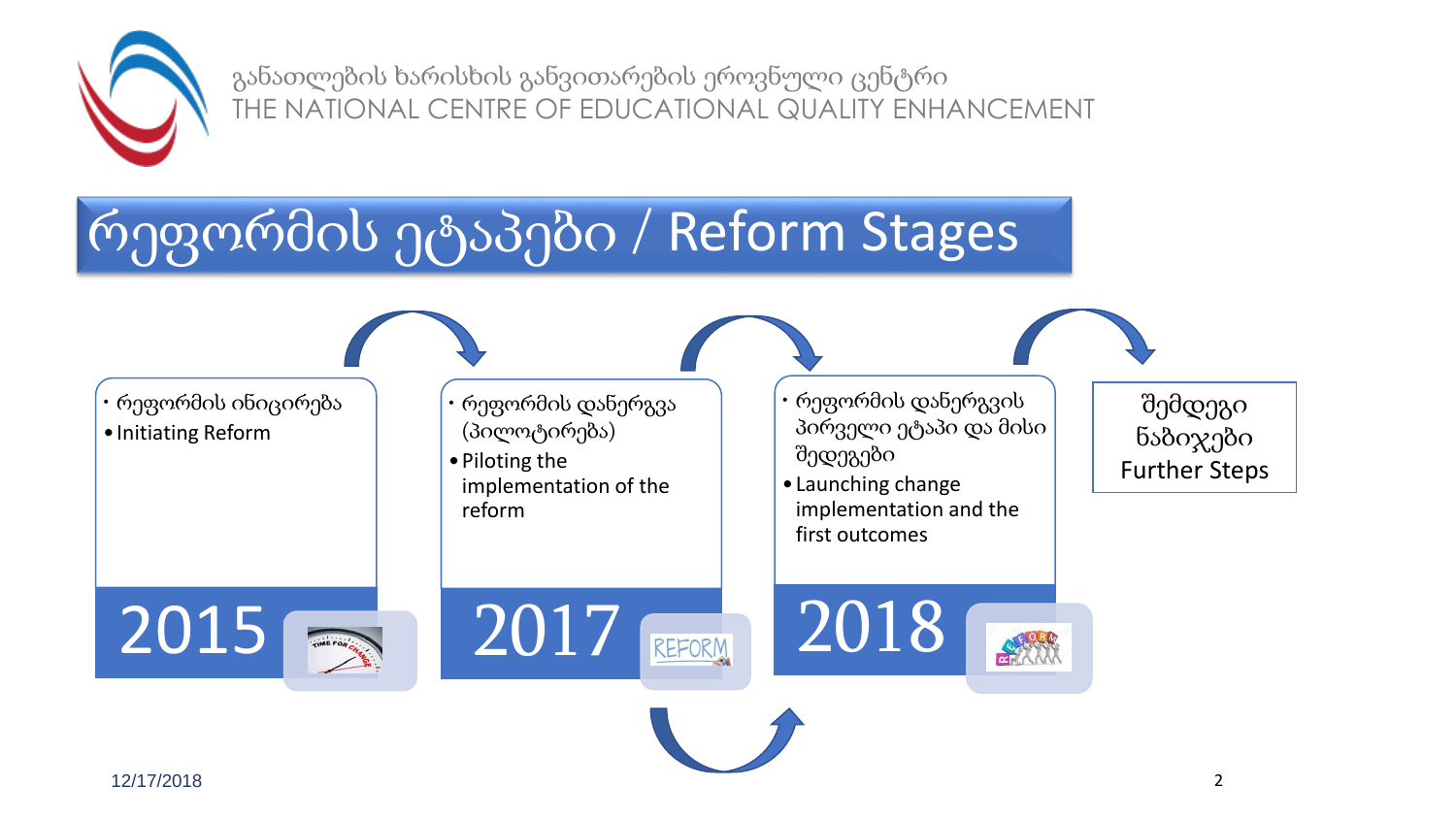

განათლების ხარისხის განვითარების ეროვნული ცენტრი THE NATIONAL CENTRE OF EDUCATIONAL QUALITY ENHANCEMENT

# რეფორმის ეტაპები / Reform Stages



•Initiating Reform

- რეფორმის დანერგვა (პილოტირება)
- •Piloting the implementation of the reform
- რეფორმის დანერგვის პირველი ეტაპი და მისი შედეგები
- •Launching change implementation and the first outcomes

2018

შემდეგი ნაბიჯები Further Steps





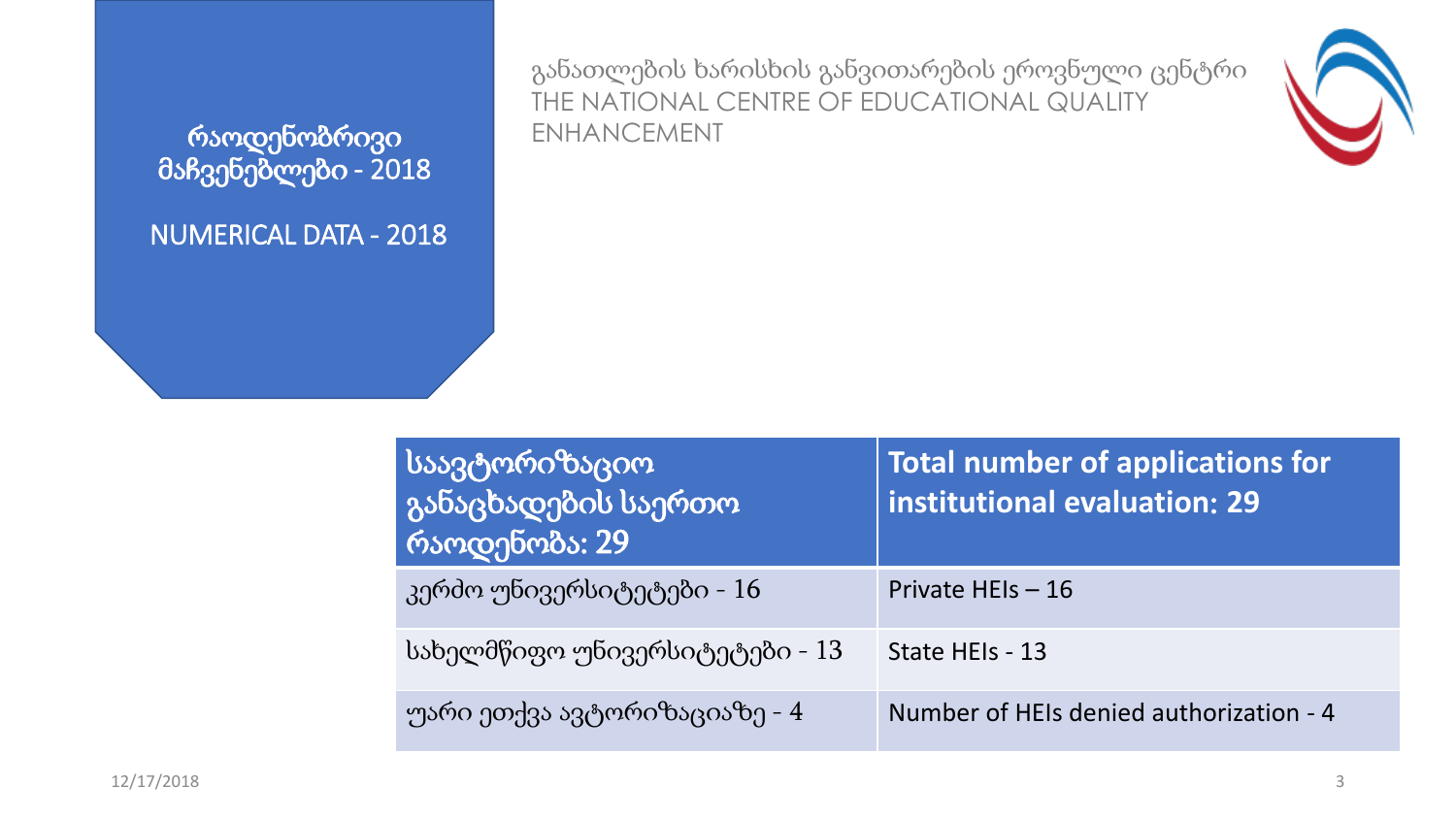რაოდენობრივი მაჩვენებლები - 2018

NUMERICAL DATA - 2018

განათლების ხარისხის განვითარების ეროვნული ცენტრი THE NATIONAL CENTRE OF EDUCATIONAL QUALITY ENHANCEMENT



| საავტორიზაციო<br>  განაცხადების საერთო<br>  რაოდენობა: 29 <sup> </sup> | <b>Total number of applications for</b><br>institutional evaluation: 29 |
|------------------------------------------------------------------------|-------------------------------------------------------------------------|
| კერძო უნივერსიტეტები - 16                                              | Private HEIs - 16                                                       |
| სახელმწიფო უნივერსიტეტები - 13                                         | State HEIs - 13                                                         |
| უარი ეთქვა ავტორიზაციაზე - 4                                           | Number of HEIs denied authorization - 4                                 |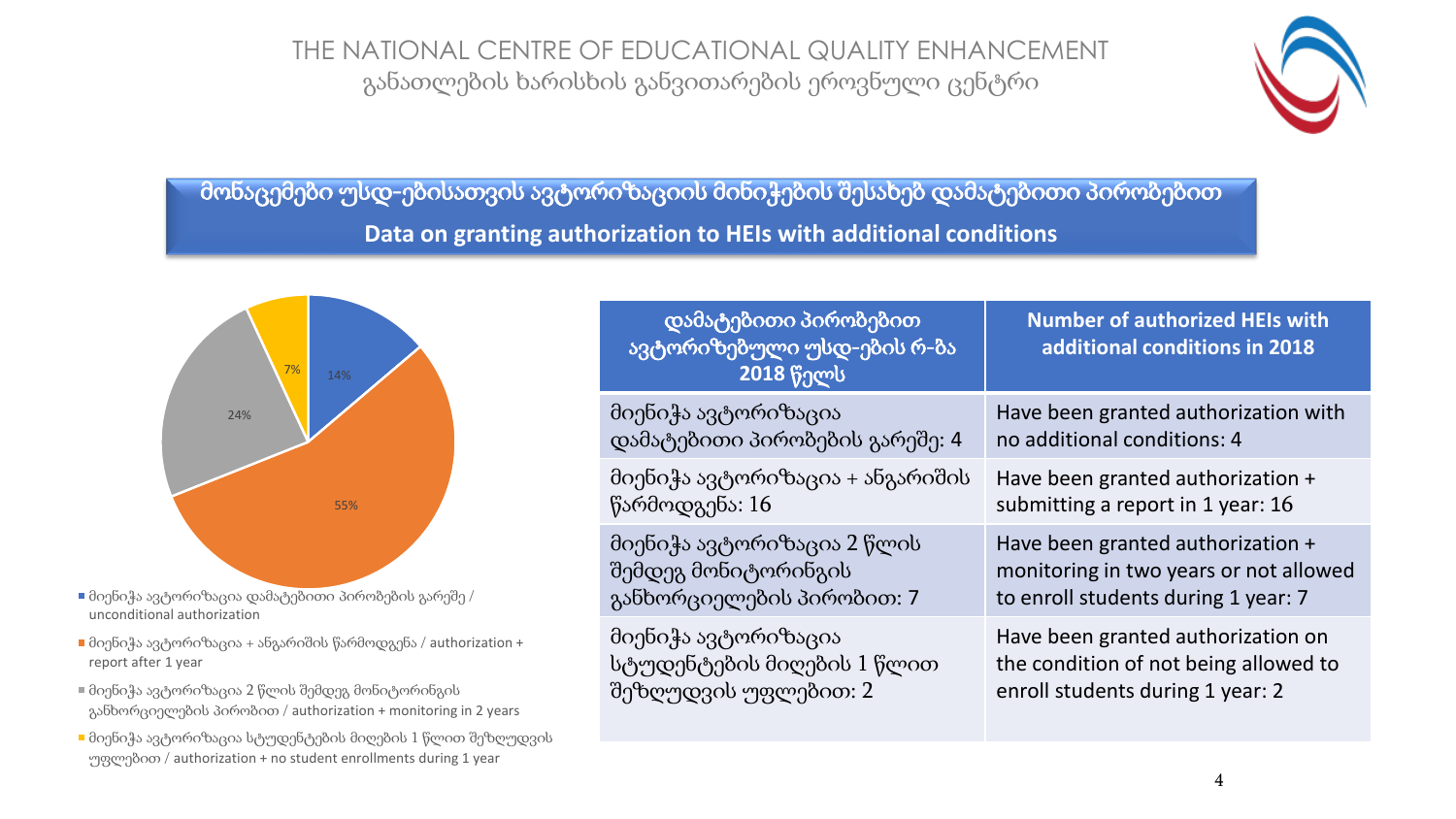THE NATIONAL CENTRE OF EDUCATIONAL QUALITY ENHANCEMENT განათლების ხარისხის განვითარების ეროვნული ცენტრი



მონაცემები უსდ-ებისათვის ავტორიზაციის მინიჭების შესახებ დამატებითი პირობებით **Data on granting authorization to HEIs with additional conditions**



 $\blacksquare$  მიენიჭა ავტორიზაცია დამატებითი პირობების გარეშე / unconditional authorization

- $\blacksquare$  მიენიჭა ავტორიზაცია + ანგარიშის წარმოდგენა / authorization + report after 1 year
- მიენიჭა ავტორიზაცია 2 წლის შემდეგ მონიტორინგის განხორციელების პირობით / authorization + monitoring in 2 years
- მიენიჭა ავტორიზაცია სტუდენტების მიღების 1 წლით შეზღუდვის უფლებით / authorization + no student enrollments during 1 year

| დამატებითი პირობებით<br>ავტორიზებული უსდ-ების რ-ბა<br><b>2018 წელს</b> | <b>Number of authorized HEIs with</b><br>additional conditions in 2018 |
|------------------------------------------------------------------------|------------------------------------------------------------------------|
| მიენიჭა ავტორიზაცია                                                    | Have been granted authorization with                                   |
| დამატებითი პირობების გარეშე: 4                                         | no additional conditions: 4                                            |
| მიენიჭა ავტორიზაცია + ანგარიშის                                        | Have been granted authorization +                                      |
| წარმოდგენა: 16                                                         | submitting a report in 1 year: 16                                      |
| მიენიჭა ავტორიზაცია 2 წლის                                             | Have been granted authorization +                                      |
| შემდეგ მონიტორინგის                                                    | monitoring in two years or not allowed                                 |
| განხორციელების პირობით: 7                                              | to enroll students during 1 year: 7                                    |
| მიენიჭა ავტორიზაცია                                                    | Have been granted authorization on                                     |
| სტუდენტების მიღების 1 წლით                                             | the condition of not being allowed to                                  |
| შეზღუდვის უფლებით: 2                                                   | enroll students during 1 year: 2                                       |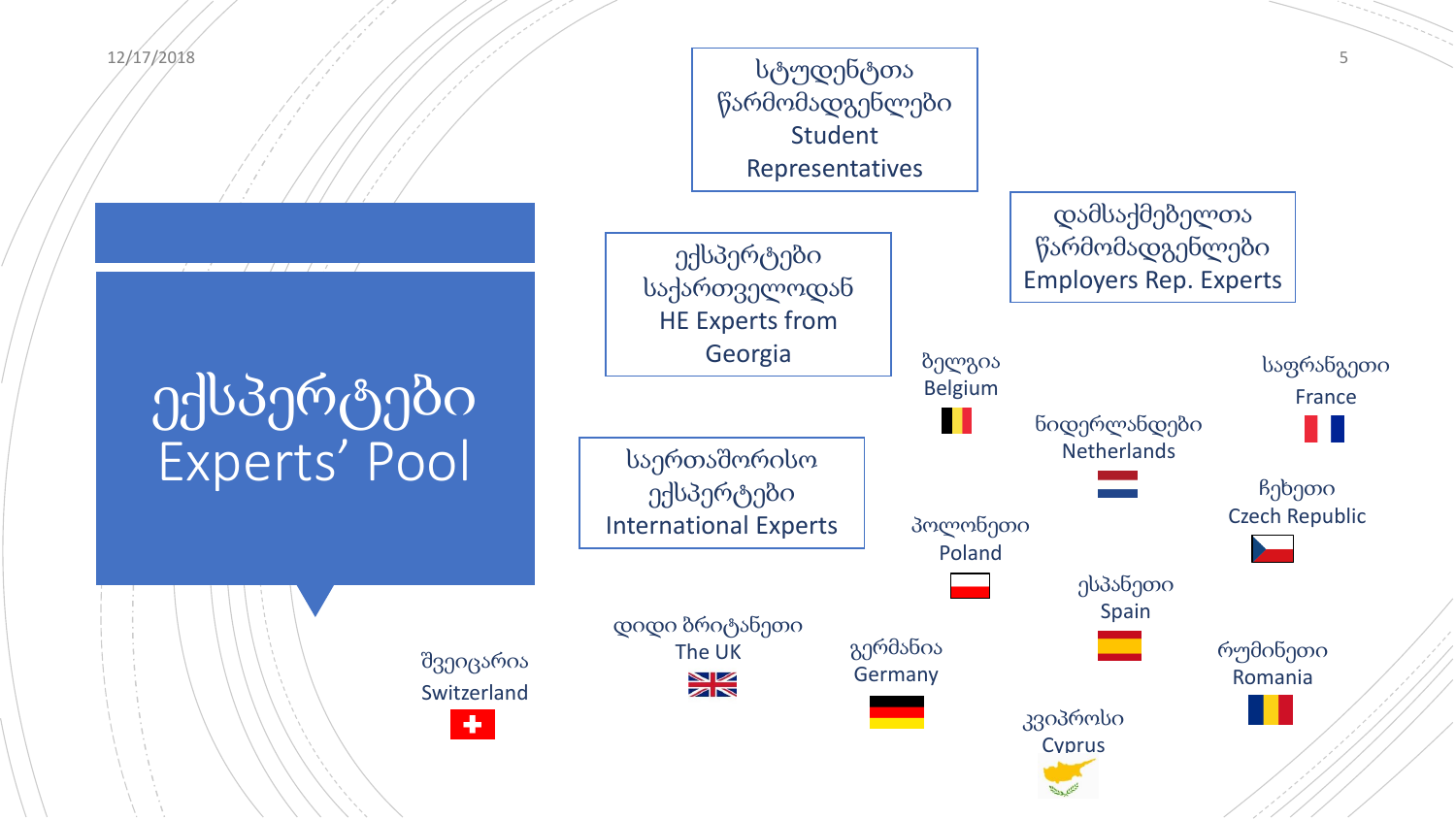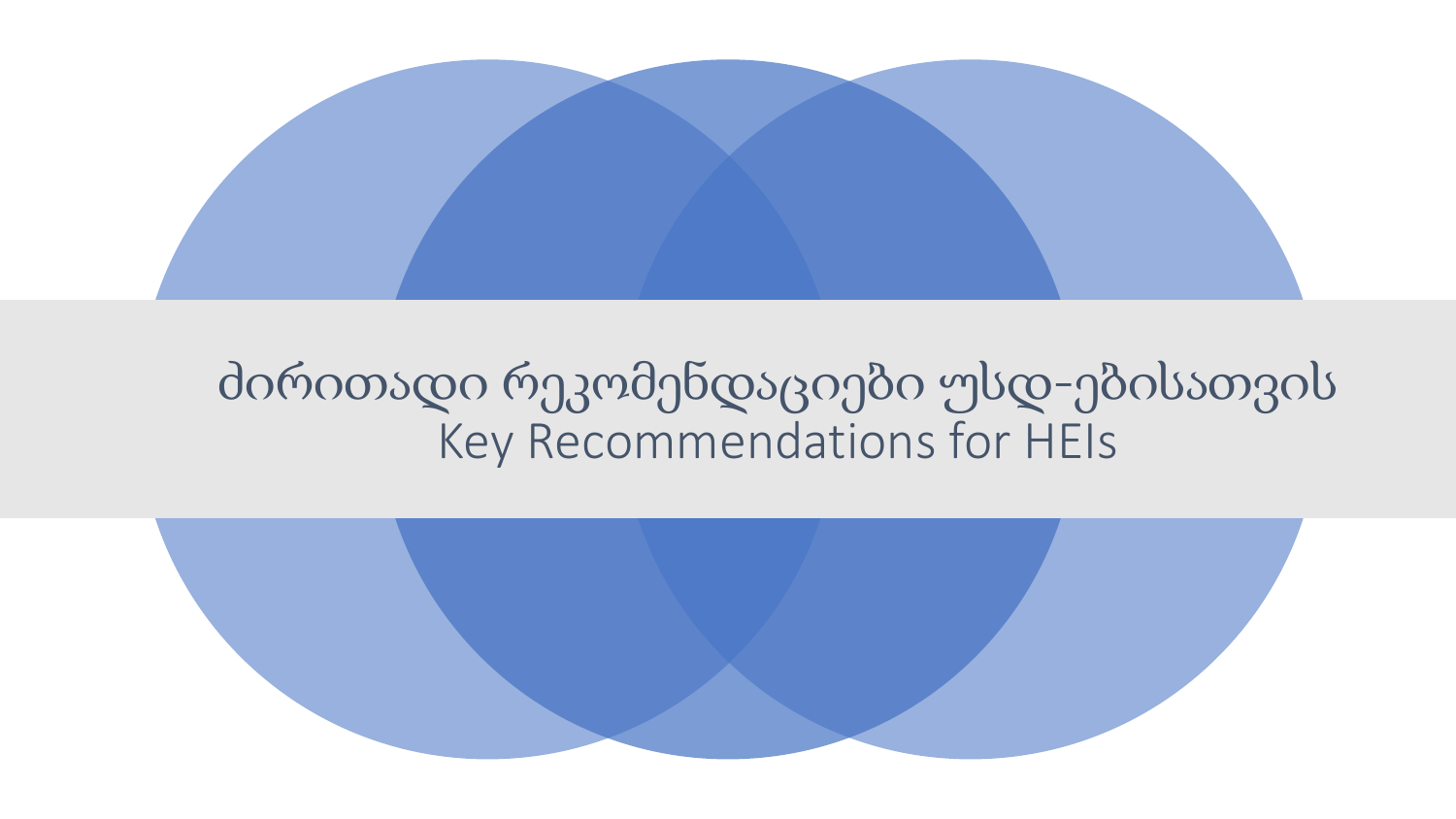

## ძირითადი რეკომენდაციები უსდ-ებისათვის Key Recommendations for HEIs

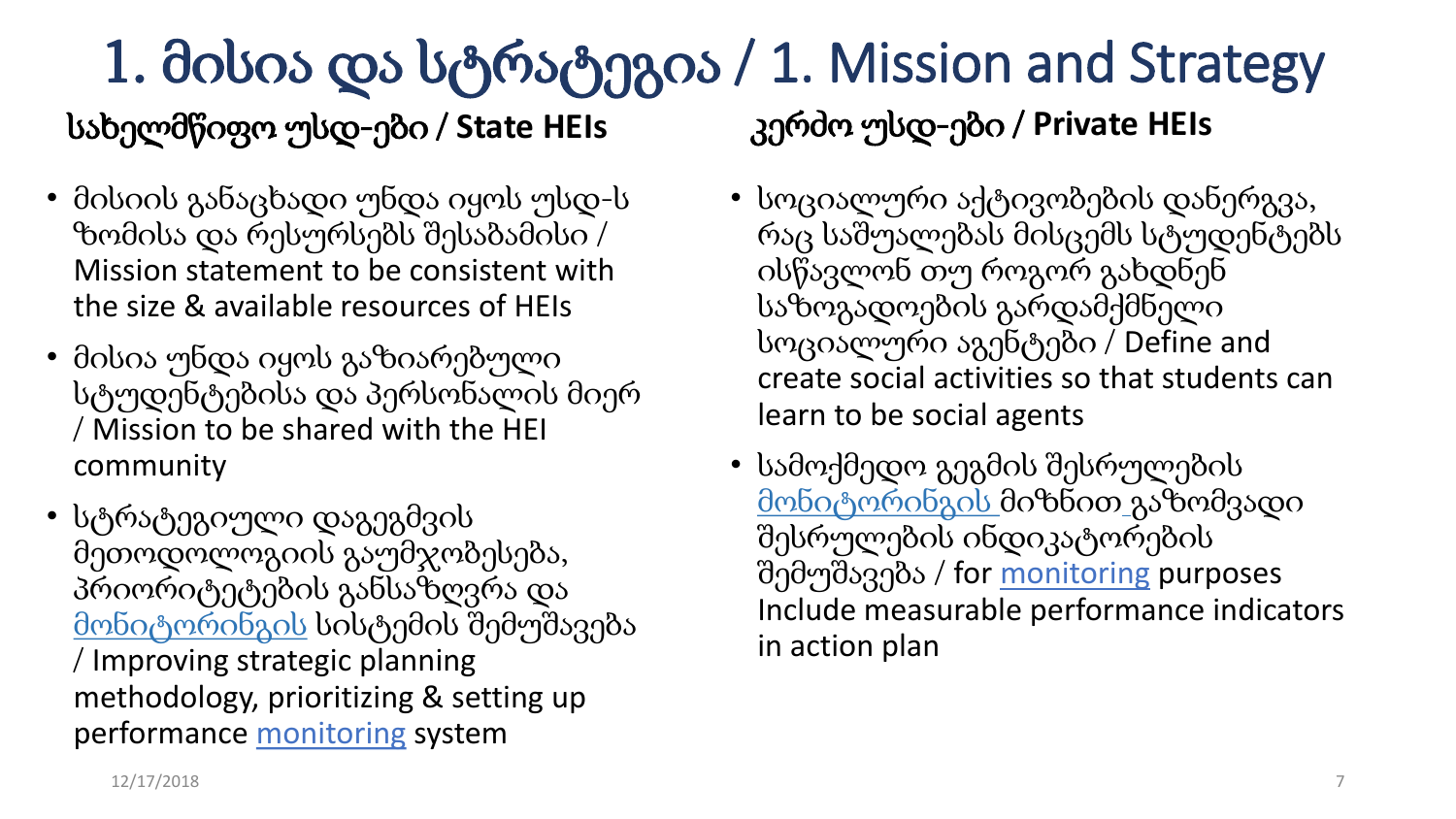### 1. მისია და სტრატეგია / 1. Mission and Strategy კერძო უსდ-ები / **Private HEIs** სახელმწიფო უსდ-ები / **State HEIs**

- მისიის განაცხადი უნდა იყოს უსდ-ს ზომისა და რესურსებს შესაბამისი / Mission statement to be consistent with the size & available resources of HEIs
- მისია უნდა იყოს გაზიარებული სტუდენტებისა და პერსონალის მიერ / Mission to be shared with the HEI community
- სტრატეგიული დაგეგმვის მეთოდოლოგიის გაუმჯობესება, პრიორიტეტების განსაზღვრა და მონიტორინგის სისტემის შემუშავება / Improving strategic planning methodology, prioritizing & setting up performance monitoring system
- სოციალური აქტივობების დანერგვა, რაც საშუალებას მისცემს სტუდენტებს ისწავლონ თუ როგორ გახდნენ საზოგადოების გარდამქმნელი სოციალური აგენტები / Define and create social activities so that students can learn to be social agents
- სამოქმედო გეგმის შესრულების მონიტორინგის მიზნით გაზომვადი შესრულების ინდიკატორების შემუშავება / for monitoring purposes Include measurable performance indicators in action plan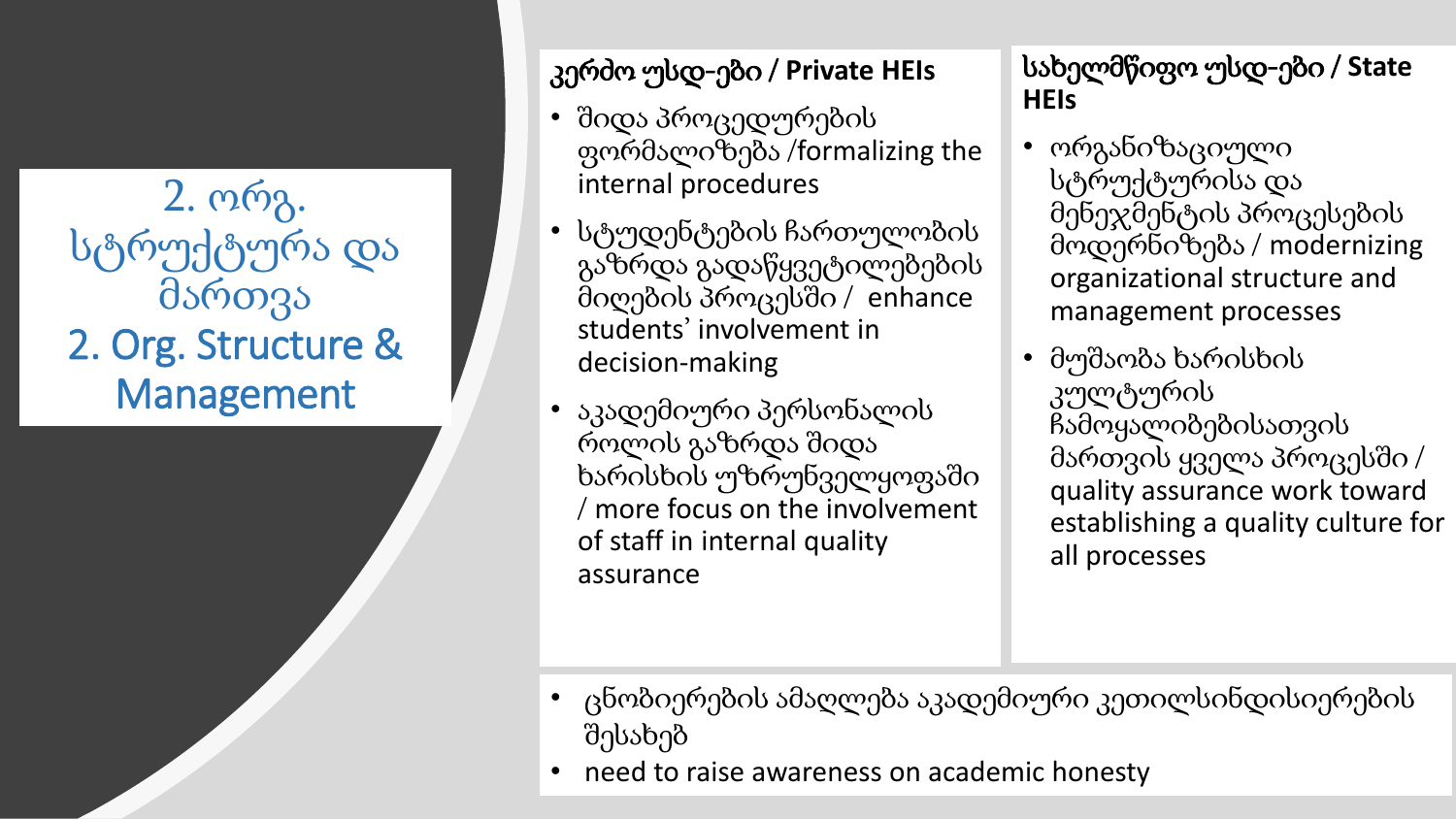2. ორგ. სტრუქტურა და მართვა 2. Org. Structure & Management

### კერძო უსდ-ები / **Private HEIs**

- შიდა პროცედურების ფორმალიზება /formalizing the internal procedures
- სტუდენტების ჩართულობის გაზრდა გადაწყვეტილებების მიღების პროცესში / enhance students' involvement in decision-making
- აკადემიური პერსონალის როლის გაზრდა შიდა ხარისხის უზრუნველყოფაში / more focus on the involvement of staff in internal quality assurance

სახელმწიფო უსდ-ები / **State HEIs**

- ორგანიზაციული სტრუქტურისა და მენეჯმენტის პროცესების მოდერნიზება / modernizing organizational structure and management processes
- მუშაობა ხარისხის კულტურის ჩამოყალიბებისათვის მართვის ყველა პროცესში / quality assurance work toward establishing a quality culture for all processes

- ცნობიერების ამაღლება აკადემიური კეთილსინდისიერების შესახებ
- need to raise awareness on academic honesty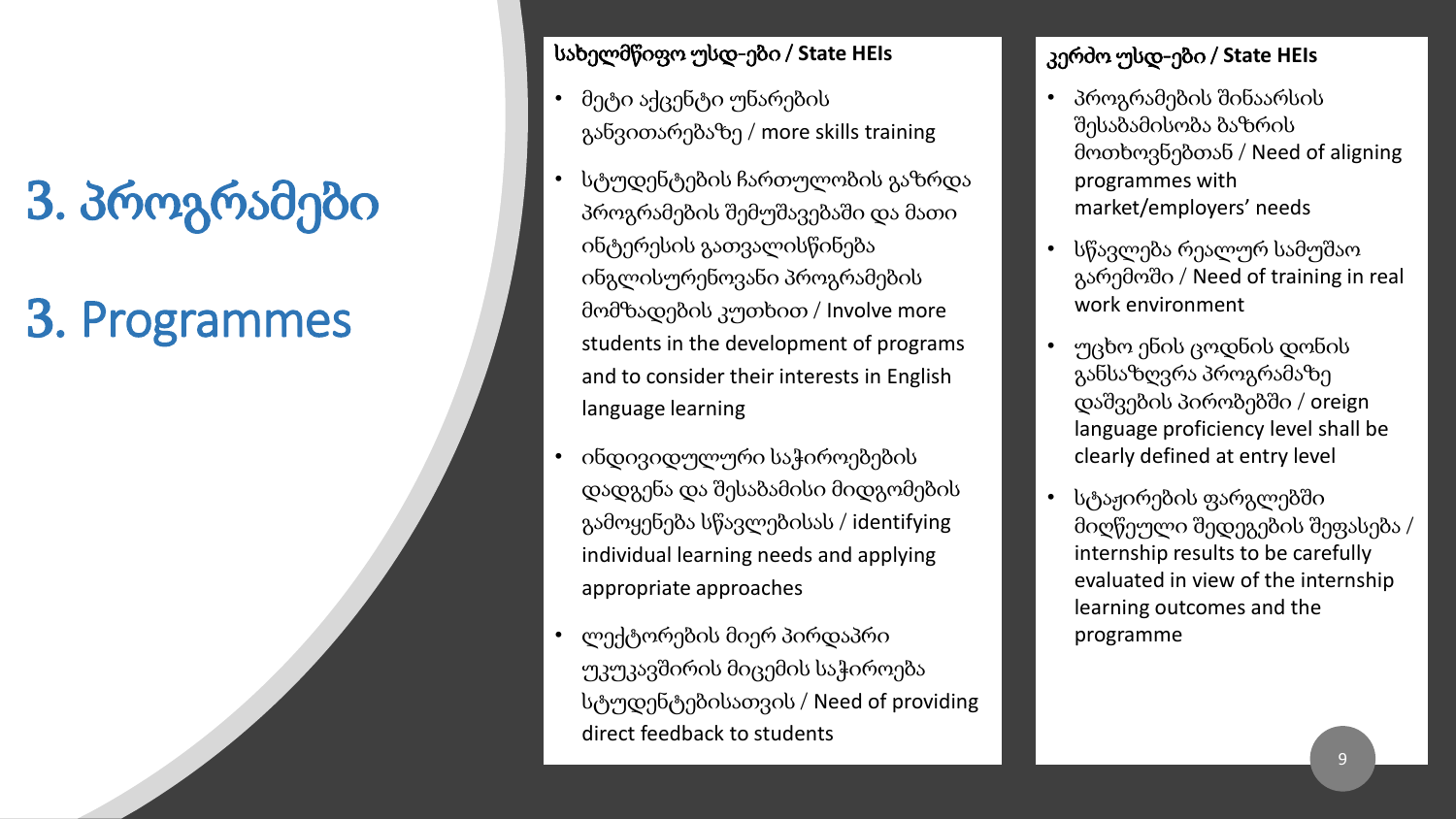## 3. პროგრამები

## 3. Programmes

#### სახელმწიფო უსდ-ები / **State HEIs**

- მეტი აქცენტი უნარების განვითარებაზე / more skills training
- სტუდენტების ჩართულობის გაზრდა პროგრამების შემუშავებაში და მათი ინტერესის გათვალისწინება ინგლისურენოვანი პროგრამების მომზადების კუთხით / Involve more students in the development of programs and to consider their interests in English language learning
- ინდივიდულური საჭიროებების დადგენა და შესაბამისი მიდგომების გამოყენება სწავლებისას / identifying individual learning needs and applying appropriate approaches
- ლექტორების მიერ პირდაპრი უკუკავშირის მიცემის საჭიროება სტუდენტებისათვის / Need of providing direct feedback to students

#### კერძო უსდ-ები / **State HEIs**

- პროგრამების შინაარსის შესაბამისობა ბაზრის მოთხოვნებთან / Need of aligning programmes with market/employers' needs
- სწავლება რეალურ სამუშაო გარემოში / Need of training in real work environment
- უცხო ენის ცოდნის დონის განსაზღვრა პროგრამაზე დაშვების პირობებში / oreign language proficiency level shall be clearly defined at entry level
- სტაჟირების ფარგლებში მიღწეული შედეგების შეფასება / internship results to be carefully evaluated in view of the internship learning outcomes and the programme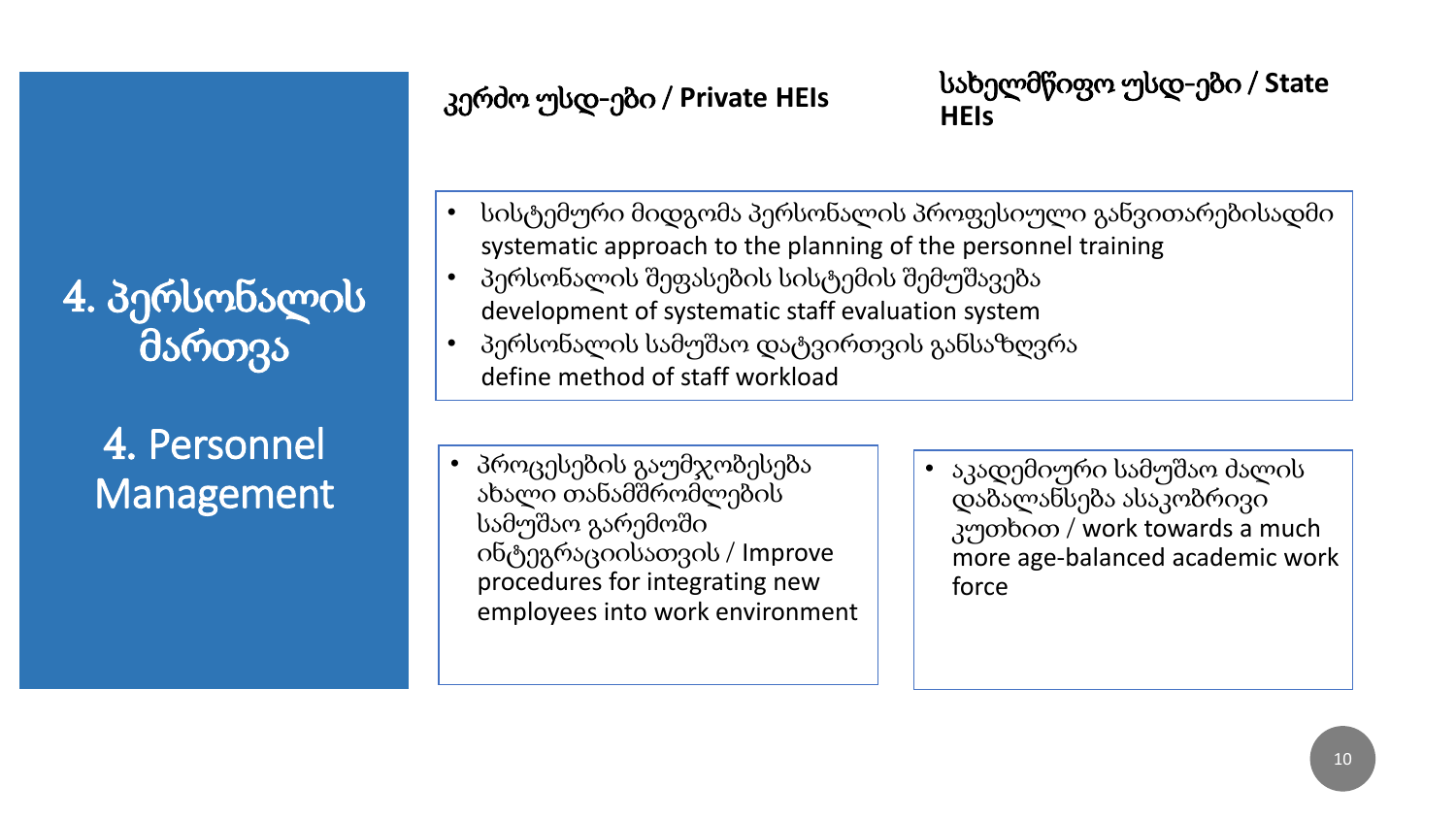4. პერსონალის მართვა

### 4. Personnel Management

კერძო უსდ-ები / **Private HEIs** სახელმწიფო უსდ-ები / **State HEIs**

- სისტემური მიდგომა პერსონალის პროფესიული განვითარებისადმი systematic approach to the planning of the personnel training
- პერსონალის შეფასების სისტემის შემუშავება development of systematic staff evaluation system
- პერსონალის სამუშაო დატვირთვის განსაზღვრა define method of staff workload
- პროცესების გაუმჯობესება ახალი თანამშრომლების სამუშაო გარემოში ინტეგრაციისათვის / Improve procedures for integrating new employees into work environment
- აკადემიური სამუშაო ძალის დაბალანსება ასაკობრივი კუთხით / work towards a much more age-balanced academic work force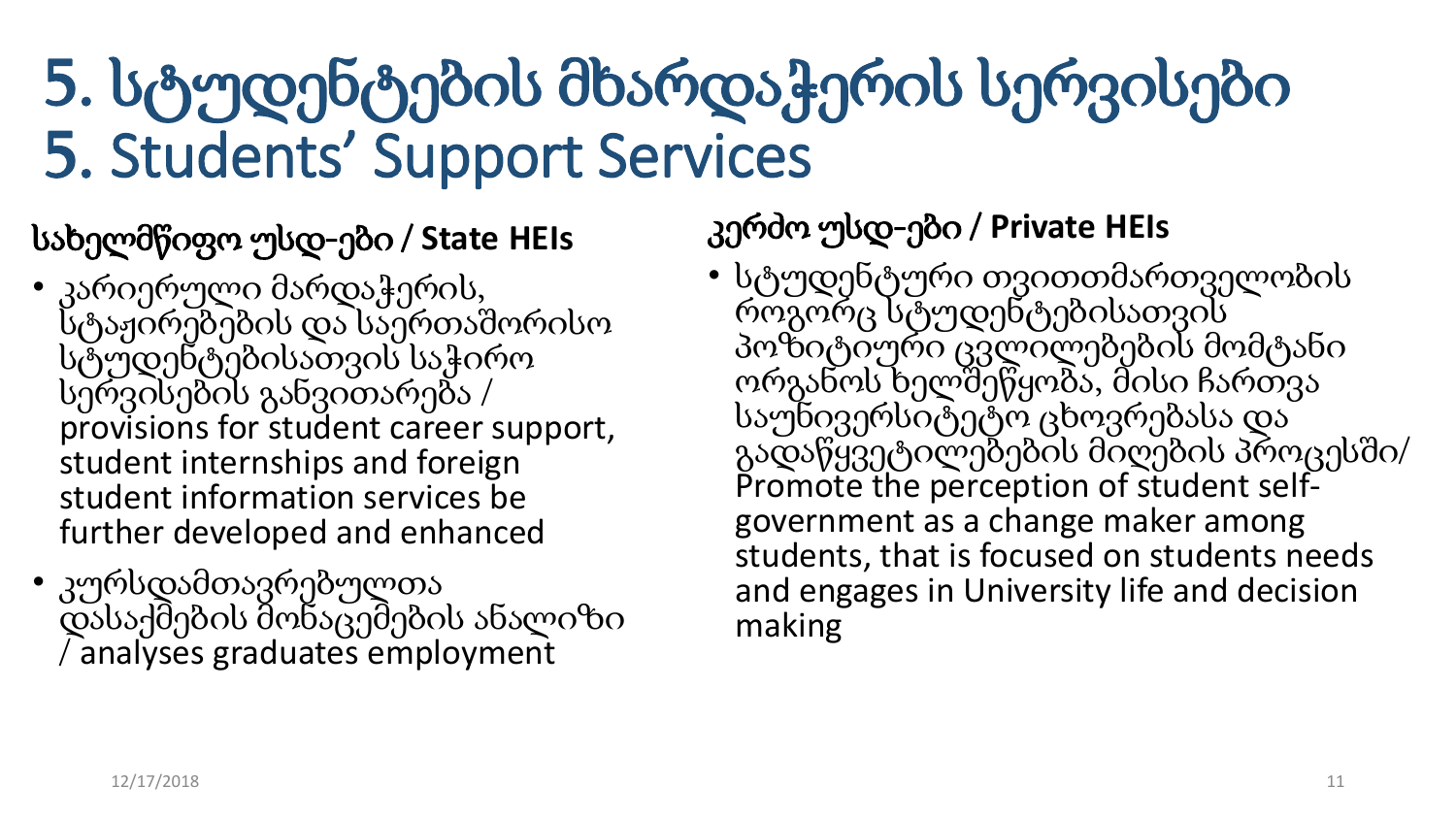# 5. სტუდენტების მხარდაჭერის სერვისები 5. Students' Support Services

### სახელმწიფო უსდ-ები / **State HEIs**

- კარიერული მარდაჭერის, სტაჟირებების და საერთაშორისო სტუდენტებისათვის საჭირო სერვისების განვითარება / provisions for student career support, student internships and foreign student information services be further developed and enhanced
- კურსდამთავრებულთა დასაქმების მონაცემების ანალიზი / analyses graduates employment

კერძო უსდ-ები / **Private HEIs**

• სტუდენტური თვითთმართველობის როგორც სტუდენტებისათვის პოზიტიური ცვლილებების მომტანი ორგანოს ხელშეწყობა, მისი ჩართვა საუნივერსიტეტო ცხოვრებასა და გადაწყვეტილებების მიღების პროცესში/ Promote the perception of student selfgovernment as a change maker among students, that is focused on students needs and engages in University life and decision making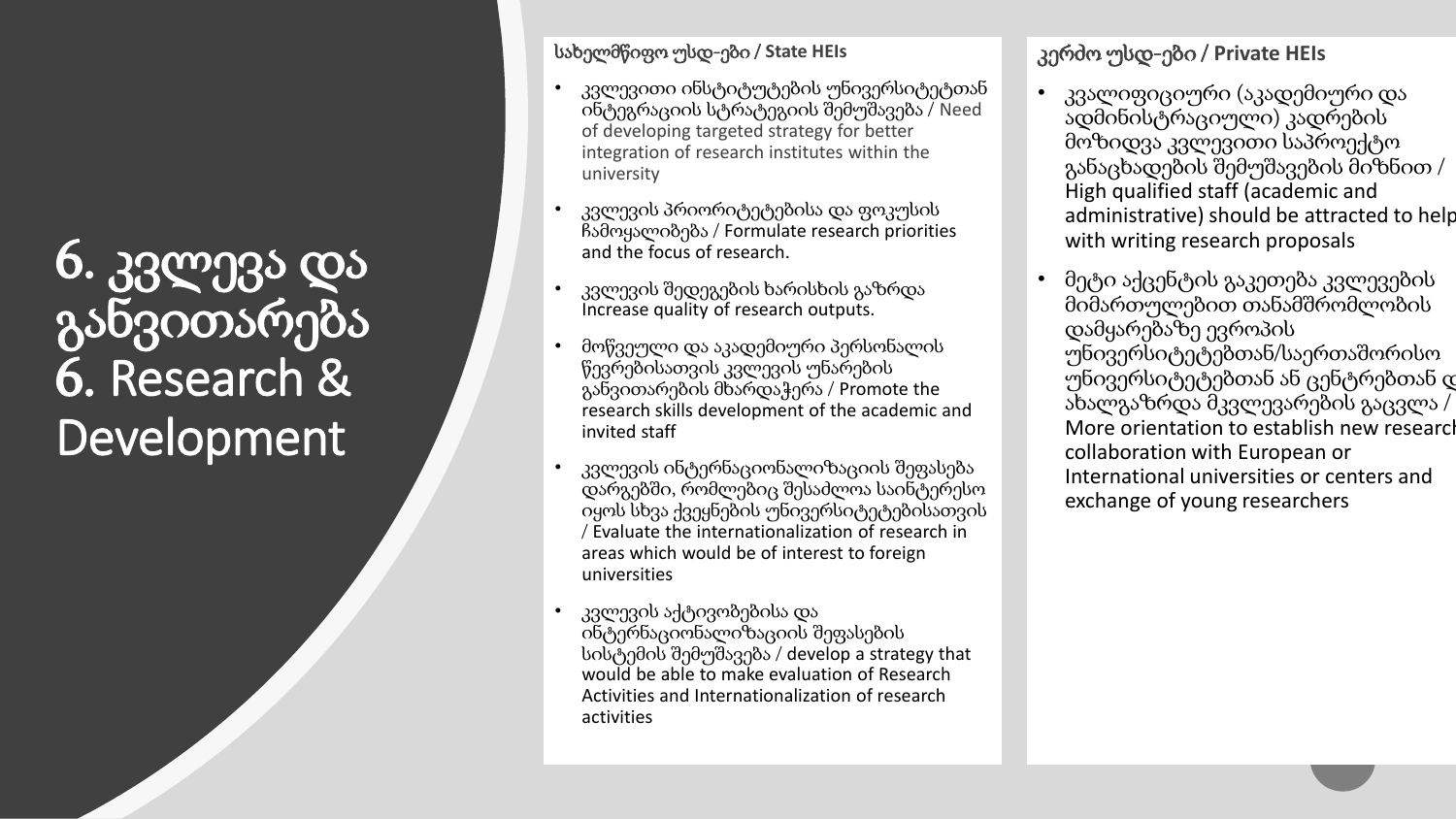6. კვლევა და განვითარება 6. Research & Development

#### სახელმწიფო უსდ-ები / **State HEIs**

- კვლევითი ინსტიტუტების უნივერსიტეტთან ინტეგრაციის სტრატეგიის შემუშავება / Need of developing targeted strategy for better integration of research institutes within the university
- კვლევის პრიორიტეტებისა და ფოკუსის ჩამოყალიბება / Formulate research priorities and the focus of research.
- კვლევის შედეგების ხარისხის გაზრდა Increase quality of research outputs.
- მოწვეული და აკადემიური პერსონალის წევრებისათვის კვლევის უნარების განვითარების მხარდაჭერა / Promote the research skills development of the academic and invited staff
- კვლევის ინტერნაციონალიზაციის შეფასება დარგებში, რომლებიც შესაძლოა საინტერესო იყოს სხვა ქვეყნების უნივერსიტეტებისათვის / Evaluate the internationalization of research in areas which would be of interest to foreign universities
- კვლევის აქტივობებისა და ინტერნაციონალიზაციის შეფასების სისტემის შემუშავება / develop a strategy that would be able to make evaluation of Research Activities and Internationalization of research activities

#### კერძო უსდ-ები / **Private HEIs**

- კვალიფიციური (აკადემიური და ადმინისტრაციული) კადრების მოზიდვა კვლევითი საპროექტო განაცხადების შემუშავების მიზნით / High qualified staff (academic and administrative) should be attracted to help with writing research proposals
- მეტი აქცენტის გაკეთება კვლევების მიმართულებით თანამშრომლობის დამყარებაზე ევროპის უნივერსიტეტებთან/საერთაშორისო უნივერსიტეტებთან ან ცენტრებთან დ ახალგაზრდა მკვლევარების გაცვლა / More orientation to establish new research collaboration with European or International universities or centers and exchange of young researchers

12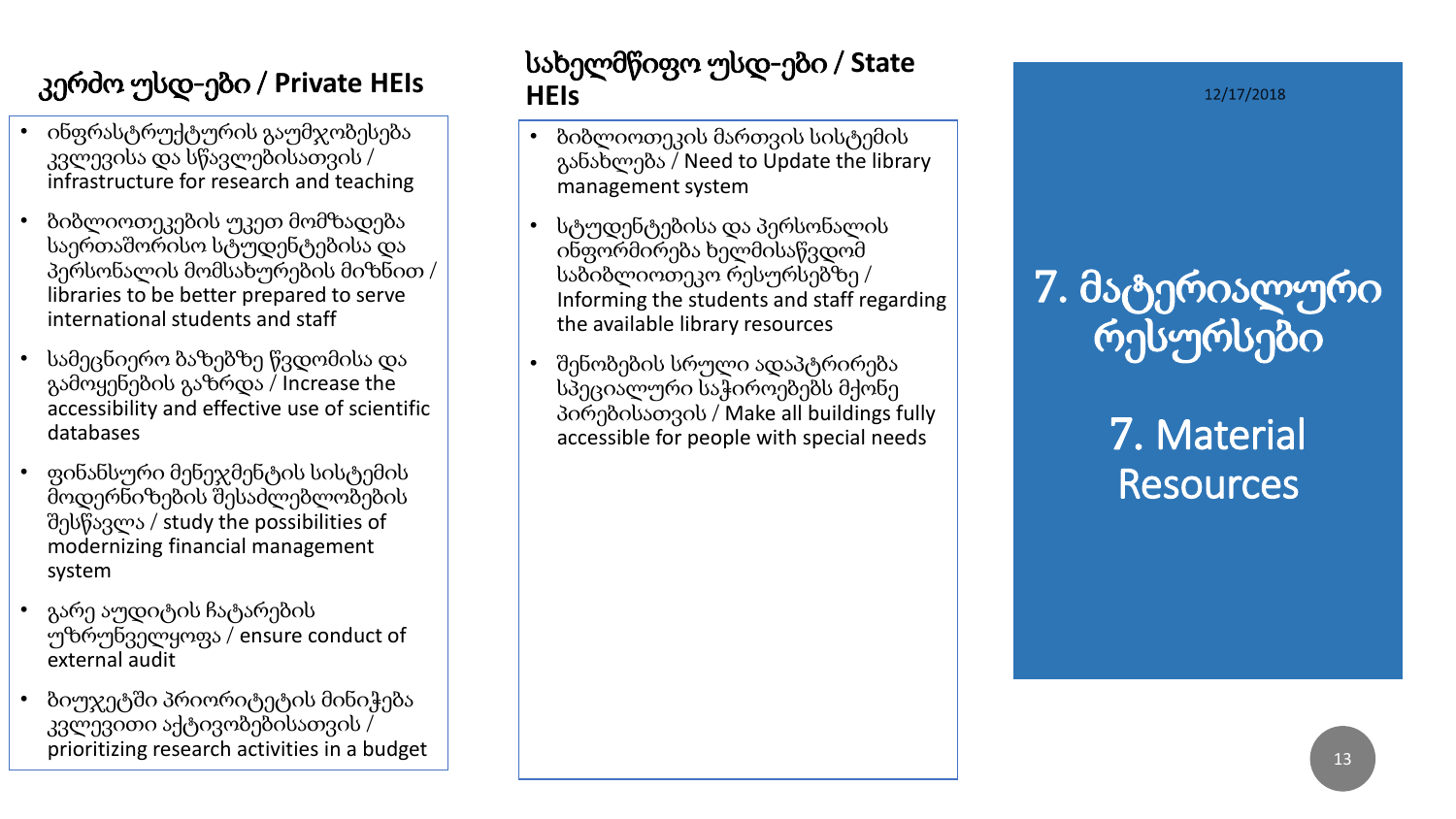### კერძო უსდ-ები / **Private HEIs**

- ინფრასტრუქტურის გაუმჯობესება კვლევისა და სწავლებისათვის / infrastructure for research and teaching
- ბიბლიოთეკების უკეთ მომზადება საერთაშორისო სტუდენტებისა და პერსონალის მომსახურების მიზნით / libraries to be better prepared to serve international students and staff
- სამეცნიერო ბაზებზე წვდომისა და გამოყენების გაზრდა / Increase the accessibility and effective use of scientific databases
- ფინანსური მენეჯმენტის სისტემის მოდერნიზების შესაძლებლობების შესწავლა / study the possibilities of modernizing financial management system
- გარე აუდიტის ჩატარების უზრუნველყოფა / ensure conduct of external audit
- ბიუჯეტში პრიორიტეტის მინიჭება კვლევითი აქტივობებისათვის / prioritizing research activities in a budget

#### სახელმწიფო უსდ-ები / **State HEIs**

- ბიბლიოთეკის მართვის სისტემის განახლება / Need to Update the library management system
- სტუდენტებისა და პერსონალის ინფორმირება ხელმისაწვდომ საბიბლიოთეკო რესურსებზე / Informing the students and staff regarding the available library resources
- შენობების სრული ადაპტრირება სპეციალური საჭიროებებს მქონე პირებისათვის / Make all buildings fully accessible for people with special needs

12/17/2018

7. მატერიალური რესურსები

## 7. Material **Resources**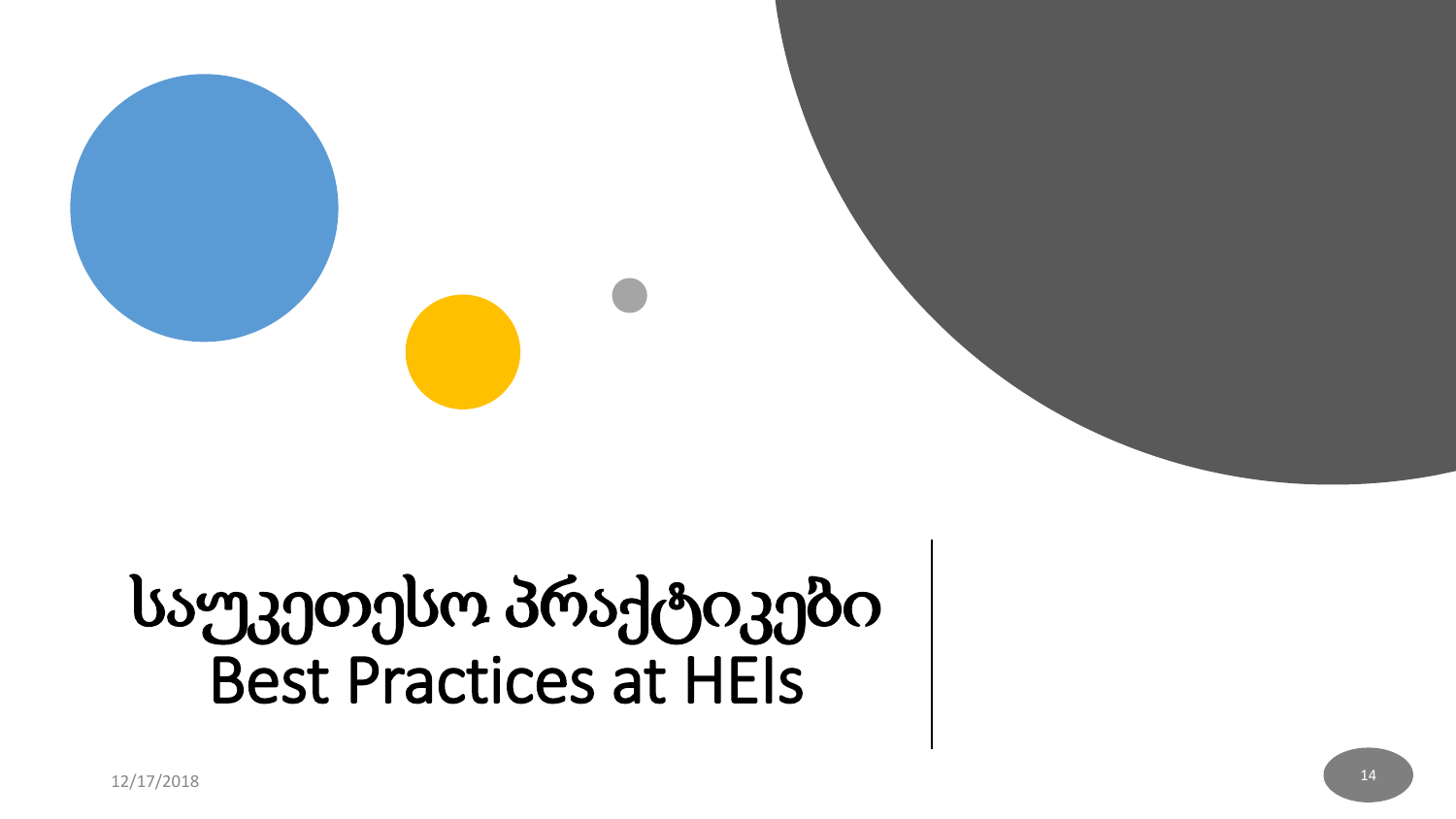# საუკეთესო პრაქტიკები Best Practices at HEIs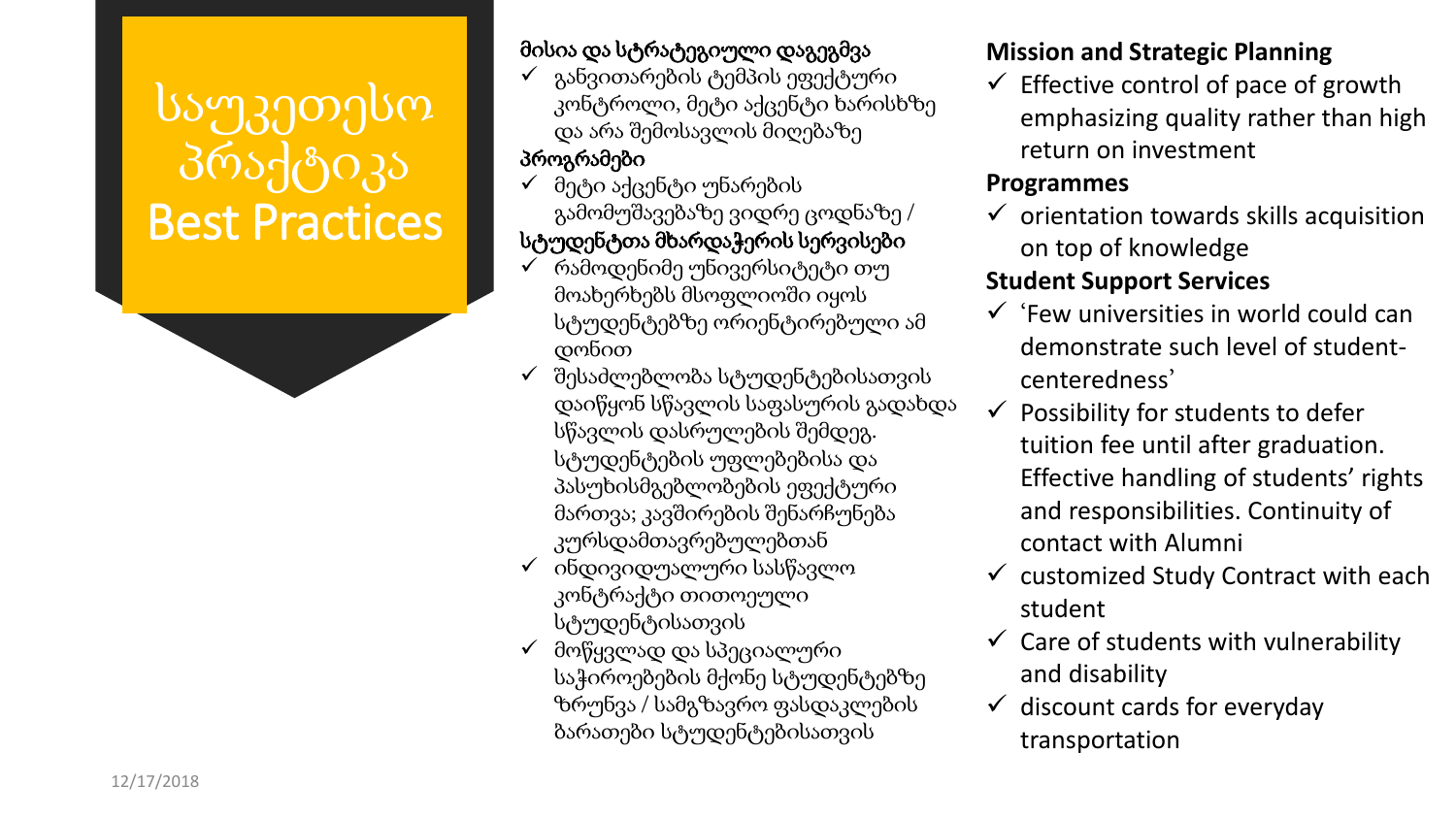## საუკეთესო პრაქტიკა Best Practices

#### მისია და სტრატეგიული დაგეგმვა

✓ განვითარების ტემპის ეფექტური კონტროლი, მეტი აქცენტი ხარისხზე და არა შემოსავლის მიღებაზე

#### პროგრამები

- ✓ მეტი აქცენტი უნარების გამომუშავებაზე ვიდრე ცოდნაზე / სტუდენტთა მხარდაჭერის სერვისები
- რამოდენიმე უნივერსიტეტი თუ მოახერხებს მსოფლიოში იყოს სტუდენტებზე ორიენტირებული ამ დონით
- ✓ შესაძლებლობა სტუდენტებისათვის დაიწყონ სწავლის საფასურის გადახდა სწავლის დასრულების შემდეგ. სტუდენტების უფლებებისა და პასუხისმგებლობების ეფექტური მართვა; კავშირების შენარჩუნება კურსდამთავრებულებთან
- $\checkmark$  ინდივიდუალური სასწავლო კონტრაქტი თითოეული სტუდენტისათვის
- ✓ მოწყვლად და სპეციალური საჭიროებების მქონე სტუდენტებზე ზრუნვა / სამგზავრო ფასდაკლების ბარათები სტუდენტებისათვის

#### **Mission and Strategic Planning**

 $\checkmark$  Effective control of pace of growth emphasizing quality rather than high return on investment

#### **Programmes**

 $\checkmark$  orientation towards skills acquisition on top of knowledge

#### **Student Support Services**

- $\checkmark$  'Few universities in world could can demonstrate such level of studentcenteredness'
- $\checkmark$  Possibility for students to defer tuition fee until after graduation. Effective handling of students' rights and responsibilities. Continuity of contact with Alumni
- $\checkmark$  customized Study Contract with each student
- $\checkmark$  Care of students with vulnerability and disability
- $\checkmark$  discount cards for everyday transportation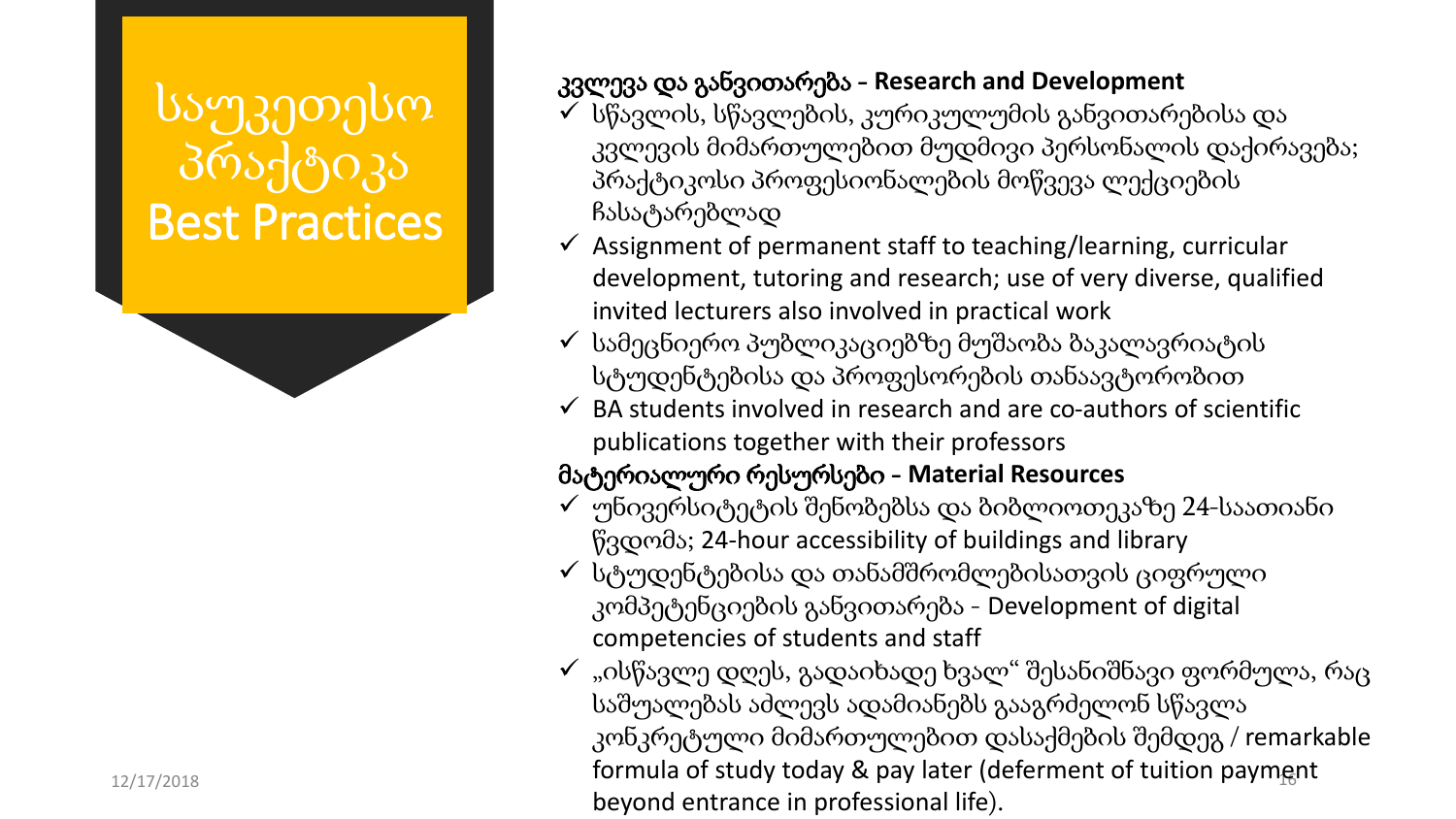## საუკეთესო პრაქტიკა Best Practices

#### კვლევა და განვითარება - **Research and Development**

- $\checkmark$  სწავლის, სწავლების, კურიკულუმის განვითარებისა და კვლევის მიმართულებით მუდმივი პერსონალის დაქირავება; პრაქტიკოსი პროფესიონალების მოწვევა ლექციების ჩასატარებლად
- $\checkmark$  Assignment of permanent staff to teaching/learning, curricular development, tutoring and research; use of very diverse, qualified invited lecturers also involved in practical work
- $\checkmark$  სამეცნიერო პუბლიკაციებზე მუშაობა ბაკალავრიატის სტუდენტებისა და პროფესორების თანაავტორობით
- $\checkmark$  BA students involved in research and are co-authors of scientific publications together with their professors

#### მატერიალური რესურსები - **Material Resources**

- $\checkmark$  უნივერსიტეტის შენობებსა და ბიბლიოთეკაზე 24-საათიანი წვდომა; 24-hour accessibility of buildings and library
- $\checkmark$  სტუდენტებისა და თანამშრომლებისათვის ციფრული კომპეტენციების განვითარება - Development of digital competencies of students and staff
- 12/17/2018 **12/17/2018 12**  $\checkmark$  "ისწავლე დღეს, გადაიხადე ხვალ" შესანიშნავი ფორმულა, რაც საშუალებას აძლევს ადამიანებს გააგრძელონ სწავლა კონკრეტული მიმართულებით დასაქმების შემდეგ / remarkable beyond entrance in professional life).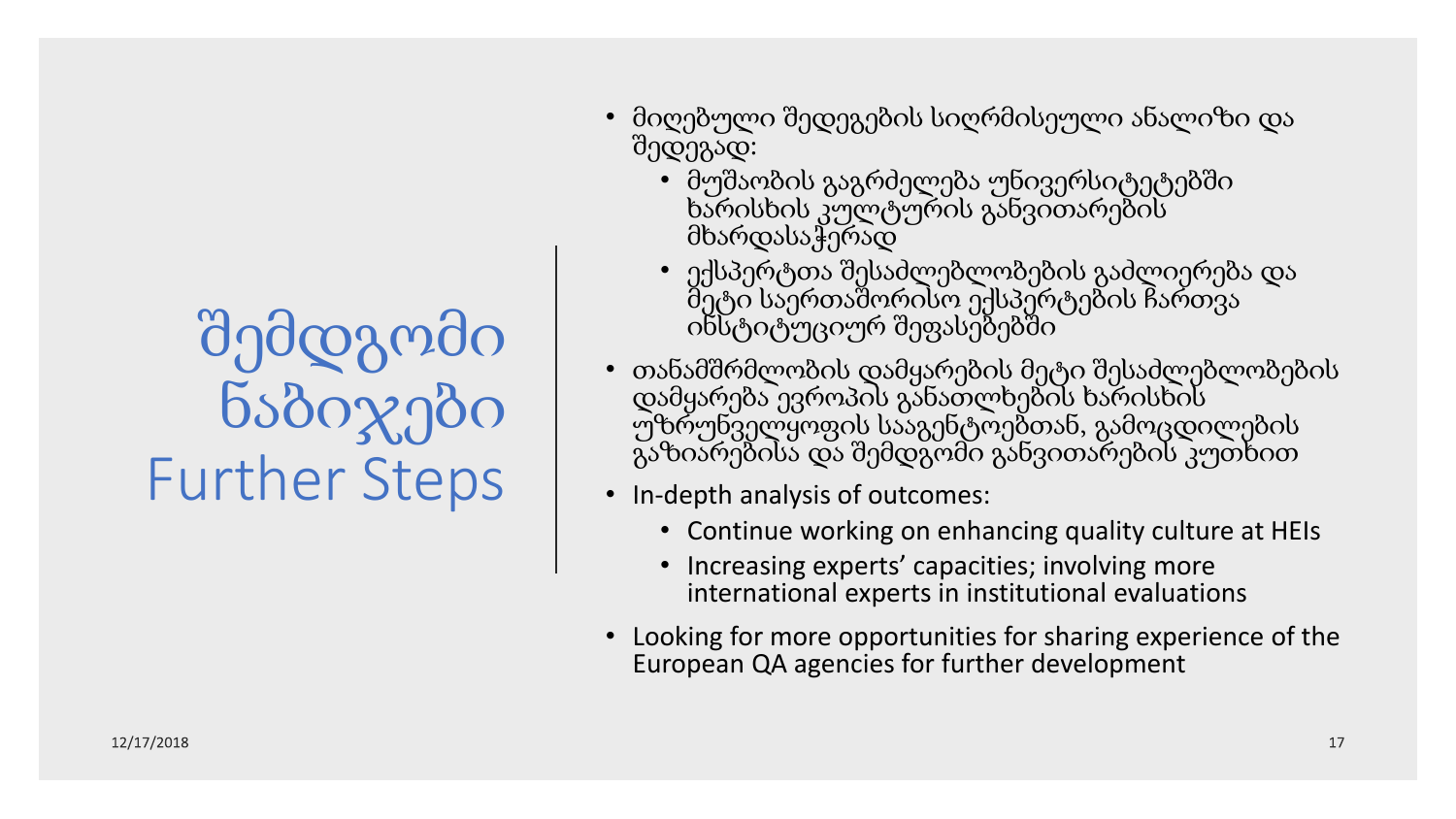# შემდგომი ნაბიჯები Further Steps

- მიღებული შედეგების სიღრმისეული ანალიზი და შედეგად:
	- მუშაობის გაგრძელება უნივერსიტეტებში ხარისხის კულტურის განვითარების მხარდასაჭერად
	- ექსპერტთა შესაძლებლობების გაძლიერება და მეტი საერთაშორისო ექსპერტების ჩართვა ინსტიტუციურ შეფასებებში
- თანამშრმლობის დამყარების მეტი შესაძლებლობების დამყარება ევროპის განათლხების ხარისხის უზრუნველყოფის სააგენტოებთან, გამოცდილების გაზიარებისა და შემდგომი განვითარების კუთხით
- In-depth analysis of outcomes:
	- Continue working on enhancing quality culture at HEIs
	- Increasing experts' capacities; involving more international experts in institutional evaluations
- Looking for more opportunities for sharing experience of the European QA agencies for further development